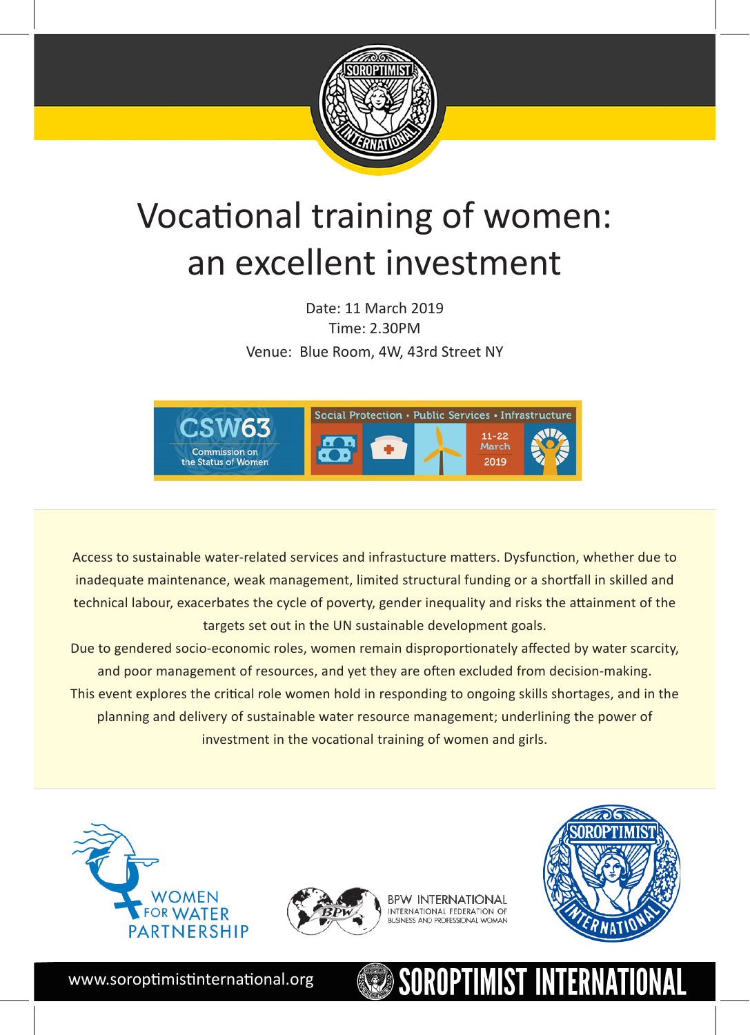

## Vocational training of women: an excellent investment

Date: 11 March 2019 Time: 2.30PM Venue: Blue Room, 4W, 43rd Street NY



Access to sustainable water-related services and infrastucture matters. Dysfunction, whether due to inadequate maintenance, weak management, limited structural funding or a shortfall in skilled and technical labour, exacerbates the cycle of poverty, gender inequality and risks the attainment of the targets set out in the UN sustainable development goals.

Due to gendered socio-economic roles, women remain disproportionately affected by water scarcity, and poor management of resources, and yet they are often excluded from decision-making. This event explores the critical role women hold in responding to ongoing skills shortages, and in the planning and delivery of sustainable water resource management; underlining the power of investment in the vocational training of women and girls.





**BPW INTERNATIONAL** INTERNATIONAL FEDERATION OF **BLISINESS AND PROFESSIONAL WOMAN** 



ROPTIMIST INTERNATIONAL

www.soroptimistinternational.org